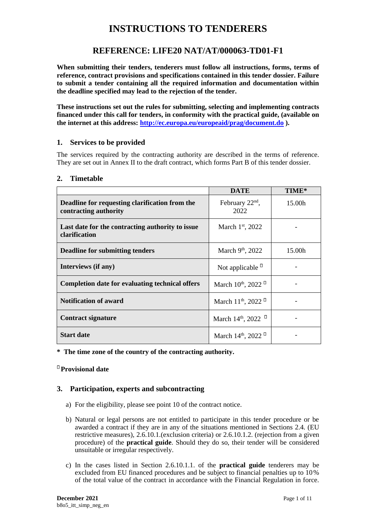# **INSTRUCTIONS TO TENDERERS**

## **REFERENCE: LIFE20 NAT/AT/000063-TD01-F1**

**When submitting their tenders, tenderers must follow all instructions, forms, terms of reference, contract provisions and specifications contained in this tender dossier. Failure to submit a tender containing all the required information and documentation within the deadline specified may lead to the rejection of the tender.**

**These instructions set out the rules for submitting, selecting and implementing contracts financed under this call for tenders, in conformity with the practical guide, (available on the internet at this address:<http://ec.europa.eu/europeaid/prag/document.do> ).** 

## **1. Services to be provided**

The services required by the contracting authority are described in the terms of reference. They are set out in Annex II to the draft contract, which forms Part B of this tender dossier.

|                                                                         | <b>DATE</b>                                         | TIME*              |
|-------------------------------------------------------------------------|-----------------------------------------------------|--------------------|
| Deadline for requesting clarification from the<br>contracting authority | February $22nd$ ,<br>2022                           | 15.00 <sub>h</sub> |
| Last date for the contracting authority to issue<br>clarification       | March $1st$ , 2022                                  |                    |
| <b>Deadline for submitting tenders</b>                                  | March 9th, 2022                                     | 15.00h             |
| Interviews (if any)                                                     | Not applicable $\Box$                               |                    |
| <b>Completion date for evaluating technical offers</b>                  | March $10^{th}$ , 2022 <sup><math>\Box</math></sup> |                    |
| <b>Notification of award</b>                                            | March 11 <sup>th</sup> , 2022 <sup>D</sup>          |                    |
| <b>Contract signature</b>                                               | March 14 <sup>th</sup> , 2022                       |                    |
| <b>Start date</b>                                                       | March $14^{\text{th}}$ , 2022                       |                    |

**\* The time zone of the country of the contracting authority.**

**Provisional date**

## **3. Participation, experts and subcontracting**

- a) For the eligibility, please see point 10 of the contract notice.
- b) Natural or legal persons are not entitled to participate in this tender procedure or be awarded a contract if they are in any of the situations mentioned in Sections 2.4. (EU restrictive measures), 2.6.10.1.(exclusion criteria) or 2.6.10.1.2. (rejection from a given procedure) of the **practical guide**. Should they do so, their tender will be considered unsuitable or irregular respectively.
- c) In the cases listed in Section 2.6.10.1.1. of the **practical guide** tenderers may be excluded from EU financed procedures and be subject to financial penalties up to 10% of the total value of the contract in accordance with the Financial Regulation in force.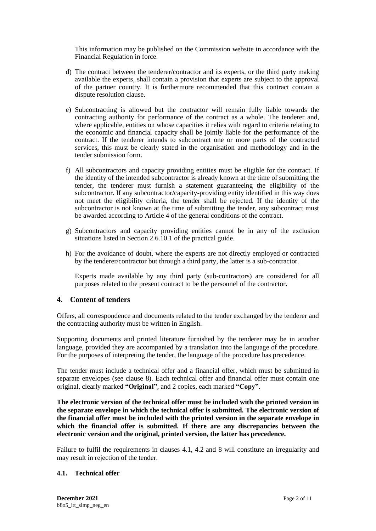This information may be published on the Commission website in accordance with the Financial Regulation in force.

- d) The contract between the tenderer/contractor and its experts, or the third party making available the experts, shall contain a provision that experts are subject to the approval of the partner country. It is furthermore recommended that this contract contain a dispute resolution clause.
- e) Subcontracting is allowed but the contractor will remain fully liable towards the contracting authority for performance of the contract as a whole. The tenderer and, where applicable, entities on whose capacities it relies with regard to criteria relating to the economic and financial capacity shall be jointly liable for the performance of the contract. If the tenderer intends to subcontract one or more parts of the contracted services, this must be clearly stated in the organisation and methodology and in the tender submission form.
- f) All subcontractors and capacity providing entities must be eligible for the contract. If the identity of the intended subcontractor is already known at the time of submitting the tender, the tenderer must furnish a statement guaranteeing the eligibility of the subcontractor. If any subcontractor/capacity-providing entity identified in this way does not meet the eligibility criteria, the tender shall be rejected. If the identity of the subcontractor is not known at the time of submitting the tender, any subcontract must be awarded according to Article 4 of the general conditions of the contract.
- g) Subcontractors and capacity providing entities cannot be in any of the exclusion situations listed in Section 2.6.10.1 of the practical guide.
- h) For the avoidance of doubt, where the experts are not directly employed or contracted by the tenderer/contractor but through a third party, the latter is a sub-contractor.

Experts made available by any third party (sub-contractors) are considered for all purposes related to the present contract to be the personnel of the contractor.

#### **4. Content of tenders**

Offers, all correspondence and documents related to the tender exchanged by the tenderer and the contracting authority must be written in English.

Supporting documents and printed literature furnished by the tenderer may be in another language, provided they are accompanied by a translation into the language of the procedure. For the purposes of interpreting the tender, the language of the procedure has precedence.

The tender must include a technical offer and a financial offer, which must be submitted in separate envelopes (see clause [8\)](#page-5-0). Each technical offer and financial offer must contain one original, clearly marked **"Original"**, and 2 copies, each marked **"Copy"**.

**The electronic version of the technical offer must be included with the printed version in the separate envelope in which the technical offer is submitted. The electronic version of the financial offer must be included with the printed version in the separate envelope in which the financial offer is submitted. If there are any discrepancies between the electronic version and the original, printed version, the latter has precedence.**

Failure to fulfil the requirements in clauses 4.1, 4.2 and [8](#page-5-0) will constitute an irregularity and may result in rejection of the tender.

#### **4.1. Technical offer**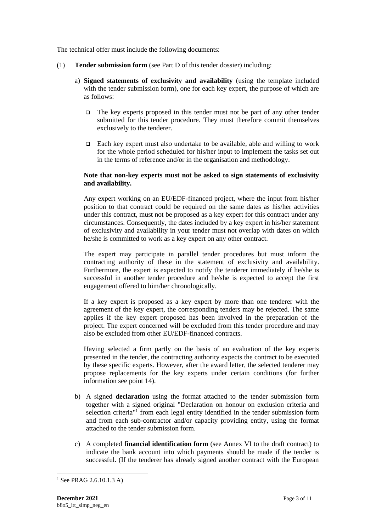The technical offer must include the following documents:

- (1) **Tender submission form** (see Part D of this tender dossier) including:
	- a) **Signed statements of exclusivity and availability** (using the template included with the tender submission form), one for each key expert, the purpose of which are as follows:
		- ❑ The key experts proposed in this tender must not be part of any other tender submitted for this tender procedure. They must therefore commit themselves exclusively to the tenderer.
		- ❑ Each key expert must also undertake to be available, able and willing to work for the whole period scheduled for his/her input to implement the tasks set out in the terms of reference and/or in the organisation and methodology.

#### **Note that non-key experts must not be asked to sign statements of exclusivity and availability.**

Any expert working on an EU/EDF-financed project, where the input from his/her position to that contract could be required on the same dates as his/her activities under this contract, must not be proposed as a key expert for this contract under any circumstances. Consequently, the dates included by a key expert in his/her statement of exclusivity and availability in your tender must not overlap with dates on which he/she is committed to work as a key expert on any other contract.

The expert may participate in parallel tender procedures but must inform the contracting authority of these in the statement of exclusivity and availability. Furthermore, the expert is expected to notify the tenderer immediately if he/she is successful in another tender procedure and he/she is expected to accept the first engagement offered to him/her chronologically.

If a key expert is proposed as a key expert by more than one tenderer with the agreement of the key expert, the corresponding tenders may be rejected. The same applies if the key expert proposed has been involved in the preparation of the project. The expert concerned will be excluded from this tender procedure and may also be excluded from other EU/EDF-financed contracts.

Having selected a firm partly on the basis of an evaluation of the key experts presented in the tender, the contracting authority expects the contract to be executed by these specific experts. However, after the award letter, the selected tenderer may propose replacements for the key experts under certain conditions (for further information see point 14).

- b) A signed **declaration** using the format attached to the tender submission form together with a signed original "Declaration on honour on exclusion criteria and selection criteria<sup>"1</sup> from each legal entity identified in the tender submission form and from each sub-contractor and/or capacity providing entity, using the format attached to the tender submission form.
- c) A completed **financial identification form** (see Annex VI to the draft contract) to indicate the bank account into which payments should be made if the tender is successful. (If the tenderer has already signed another contract with the European

<sup>&</sup>lt;sup>1</sup> See PRAG 2.6.10.1.3 A)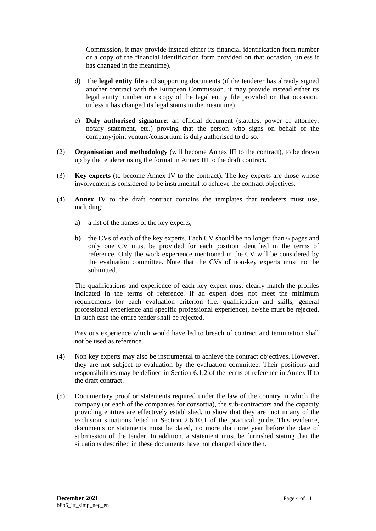Commission, it may provide instead either its financial identification form number or a copy of the financial identification form provided on that occasion, unless it has changed in the meantime).

- d) The **legal entity file** and supporting documents (if the tenderer has already signed another contract with the European Commission, it may provide instead either its legal entity number or a copy of the legal entity file provided on that occasion, unless it has changed its legal status in the meantime).
- e) **Duly authorised signature**: an official document (statutes, power of attorney, notary statement, etc.) proving that the person who signs on behalf of the company/joint venture/consortium is duly authorised to do so.
- (2) **Organisation and methodology** (will become Annex III to the contract), to be drawn up by the tenderer using the format in Annex III to the draft contract.
- (3) **Key experts** (to become Annex IV to the contract). The key experts are those whose involvement is considered to be instrumental to achieve the contract objectives.
- (4) **Annex IV** to the draft contract contains the templates that tenderers must use, including:
	- a) a list of the names of the key experts;
	- **b)** the CVs of each of the key experts. Each CV should be no longer than 6 pages and only one CV must be provided for each position identified in the terms of reference. Only the work experience mentioned in the CV will be considered by the evaluation committee. Note that the CVs of non-key experts must not be submitted.

The qualifications and experience of each key expert must clearly match the profiles indicated in the terms of reference. If an expert does not meet the minimum requirements for each evaluation criterion (i.e. qualification and skills, general professional experience and specific professional experience), he/she must be rejected. In such case the entire tender shall be rejected.

 Previous experience which would have led to breach of contract and termination shall not be used as reference.

- (4) Non key experts may also be instrumental to achieve the contract objectives. However, they are not subject to evaluation by the evaluation committee. Their positions and responsibilities may be defined in Section 6.1.2 of the terms of reference in Annex II to the draft contract.
- (5) Documentary proof or statements required under the law of the country in which the company (or each of the companies for consortia), the sub-contractors and the capacity providing entities are effectively established, to show that they are not in any of the exclusion situations listed in Section 2.6.10.1 of the practical guide. This evidence, documents or statements must be dated, no more than one year before the date of submission of the tender. In addition, a statement must be furnished stating that the situations described in these documents have not changed since then.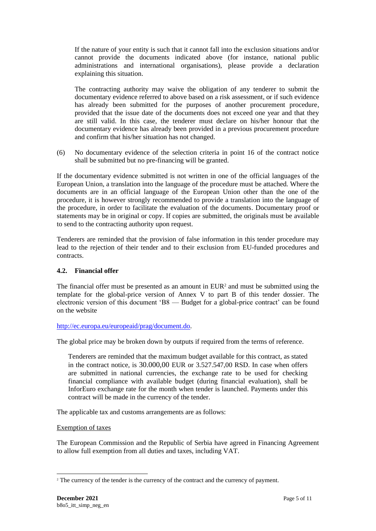If the nature of your entity is such that it cannot fall into the exclusion situations and/or cannot provide the documents indicated above (for instance, national public administrations and international organisations), please provide a declaration explaining this situation.

The contracting authority may waive the obligation of any tenderer to submit the documentary evidence referred to above based on a risk assessment, or if such evidence has already been submitted for the purposes of another procurement procedure, provided that the issue date of the documents does not exceed one year and that they are still valid. In this case, the tenderer must declare on his/her honour that the documentary evidence has already been provided in a previous procurement procedure and confirm that his/her situation has not changed.

(6) No documentary evidence of the selection criteria in point 16 of the contract notice shall be submitted but no pre-financing will be granted.

If the documentary evidence submitted is not written in one of the official languages of the European Union, a translation into the language of the procedure must be attached. Where the documents are in an official language of the European Union other than the one of the procedure, it is however strongly recommended to provide a translation into the language of the procedure, in order to facilitate the evaluation of the documents. Documentary proof or statements may be in original or copy. If copies are submitted, the originals must be available to send to the contracting authority upon request.

Tenderers are reminded that the provision of false information in this tender procedure may lead to the rejection of their tender and to their exclusion from EU-funded procedures and contracts.

## **4.2. Financial offer**

The financial offer must be presented as an amount in  $EUR<sup>2</sup>$  and must be submitted using the template for the global-price version of Annex V to part B of this tender dossier. The electronic version of this document 'B8 — Budget for a global-price contract' can be found on the website

## [http://ec.europa.eu/europeaid/prag/document.do.](http://ec.europa.eu/europeaid/prag/document.do)

The global price may be broken down by outputs if required from the terms of reference.

Tenderers are reminded that the maximum budget available for this contract, as stated in the contract notice, is 30.000,00 EUR or 3.527.547,00 RSD. In case when offers are submitted in national currencies, the exchange rate to be used for checking financial compliance with available budget (during financial evaluation), shall be InforEuro exchange rate for the month when tender is launched. Payments under this contract will be made in the currency of the tender.

The applicable tax and customs arrangements are as follows:

#### Exemption of taxes

The European Commission and the Republic of Serbia have agreed in Financing Agreement to allow full exemption from all duties and taxes, including VAT.

<sup>&</sup>lt;sup>2</sup> The currency of the tender is the currency of the contract and the currency of payment.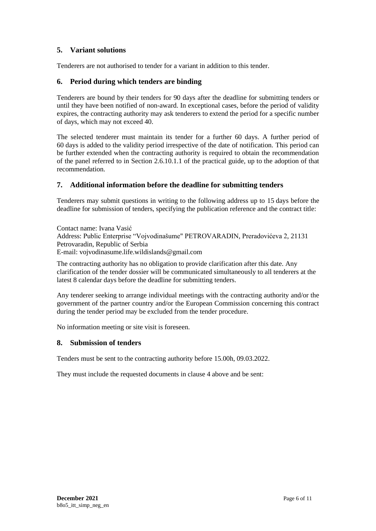## **5. Variant solutions**

Tenderers are not authorised to tender for a variant in addition to this tender.

## **6. Period during which tenders are binding**

Tenderers are bound by their tenders for 90 days after the deadline for submitting tenders or until they have been notified of non-award. In exceptional cases, before the period of validity expires, the contracting authority may ask tenderers to extend the period for a specific number of days, which may not exceed 40.

The selected tenderer must maintain its tender for a further 60 days. A further period of 60 days is added to the validity period irrespective of the date of notification. This period can be further extended when the contracting authority is required to obtain the recommendation of the panel referred to in Section 2.6.10.1.1 of the practical guide, up to the adoption of that recommendation.

## **7. Additional information before the deadline for submitting tenders**

Tenderers may submit questions in writing to the following address up to 15 days before the deadline for submission of tenders, specifying the publication reference and the contract title:

Contact name: Ivana Vasić Address: Public Enterprise "Vojvodinašume" PETROVARADIN, Preradovićeva 2, 21131 Petrovaradin, Republic of Serbia E-mail: vojvodinasume.life.wildislands@gmail.com

The contracting authority has no obligation to provide clarification after this date. Any clarification of the tender dossier will be communicated simultaneously to all tenderers at the latest 8 calendar days before the deadline for submitting tenders.

Any tenderer seeking to arrange individual meetings with the contracting authority and/or the government of the partner country and/or the European Commission concerning this contract during the tender period may be excluded from the tender procedure.

No information meeting or site visit is foreseen.

## <span id="page-5-0"></span>**8. Submission of tenders**

Tenders must be sent to the contracting authority before 15.00h, 09.03.2022.

They must include the requested documents in clause 4 above and be sent: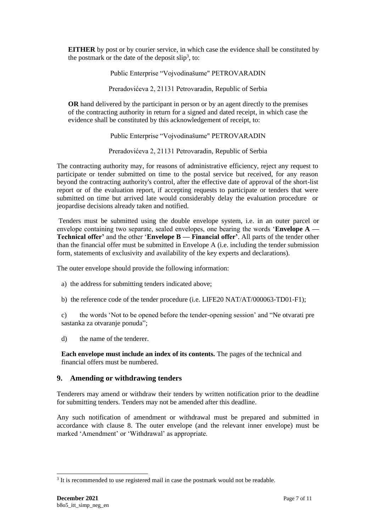**EITHER** by post or by courier service, in which case the evidence shall be constituted by the postmark or the date of the deposit  $slip<sup>3</sup>$ , to:

Public Enterprise "Vojvodinašume" PETROVARADIN

Preradovićeva 2, 21131 Petrovaradin, Republic of Serbia

**OR** hand delivered by the participant in person or by an agent directly to the premises of the contracting authority in return for a signed and dated receipt, in which case the evidence shall be constituted by this acknowledgement of receipt, to:

#### Public Enterprise "Vojvodinašume" PETROVARADIN

Preradovićeva 2, 21131 Petrovaradin, Republic of Serbia

The contracting authority may, for reasons of administrative efficiency, reject any request to participate or tender submitted on time to the postal service but received, for any reason beyond the contracting authority's control, after the effective date of approval of the short-list report or of the evaluation report, if accepting requests to participate or tenders that were submitted on time but arrived late would considerably delay the evaluation procedure or jeopardise decisions already taken and notified.

Tenders must be submitted using the double envelope system, i.e. in an outer parcel or envelope containing two separate, sealed envelopes, one bearing the words '**Envelope A — Technical offer'** and the other '**Envelope B — Financial offer'**. All parts of the tender other than the financial offer must be submitted in Envelope A (i.e. including the tender submission form, statements of exclusivity and availability of the key experts and declarations).

The outer envelope should provide the following information:

- a) the address for submitting tenders indicated above;
- b) the reference code of the tender procedure (i.e. LIFE20 NAT/AT/000063-TD01-F1);

c) the words 'Not to be opened before the tender-opening session' and "Ne otvarati pre sastanka za otvaranje ponuda";

d) the name of the tenderer.

**Each envelope must include an index of its contents.** The pages of the technical and financial offers must be numbered.

## **9. Amending or withdrawing tenders**

Tenderers may amend or withdraw their tenders by written notification prior to the deadline for submitting tenders. Tenders may not be amended after this deadline.

Any such notification of amendment or withdrawal must be prepared and submitted in accordance with clause [8.](#page-5-0) The outer envelope (and the relevant inner envelope) must be marked 'Amendment' or 'Withdrawal' as appropriate.

<sup>&</sup>lt;sup>3</sup> It is recommended to use registered mail in case the postmark would not be readable.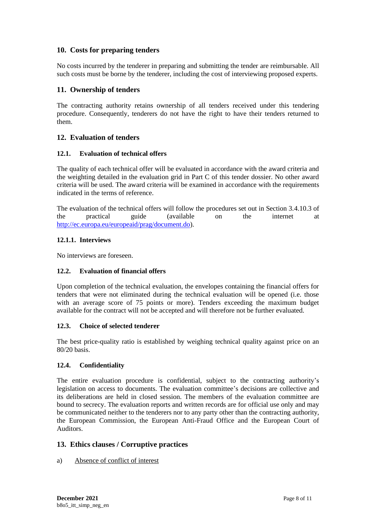## **10. Costs for preparing tenders**

No costs incurred by the tenderer in preparing and submitting the tender are reimbursable. All such costs must be borne by the tenderer, including the cost of interviewing proposed experts.

## **11. Ownership of tenders**

The contracting authority retains ownership of all tenders received under this tendering procedure. Consequently, tenderers do not have the right to have their tenders returned to them.

## **12. Evaluation of tenders**

## **12.1. Evaluation of technical offers**

The quality of each technical offer will be evaluated in accordance with the award criteria and the weighting detailed in the evaluation grid in Part C of this tender dossier. No other award criteria will be used. The award criteria will be examined in accordance with the requirements indicated in the terms of reference.

The evaluation of the technical offers will follow the procedures set out in Section 3.4.10.3 of the practical guide (available on the internet at [http://ec.europa.eu/europeaid/prag/document.do\)](http://ec.europa.eu/europeaid/prag/document.do).

## **12.1.1. Interviews**

No interviews are foreseen.

## **12.2. Evaluation of financial offers**

Upon completion of the technical evaluation, the envelopes containing the financial offers for tenders that were not eliminated during the technical evaluation will be opened (i.e. those with an average score of 75 points or more). Tenders exceeding the maximum budget available for the contract will not be accepted and will therefore not be further evaluated.

#### **12.3. Choice of selected tenderer**

The best price-quality ratio is established by weighing technical quality against price on an 80/20 basis.

#### **12.4. Confidentiality**

The entire evaluation procedure is confidential, subject to the contracting authority's legislation on access to documents. The evaluation committee's decisions are collective and its deliberations are held in closed session. The members of the evaluation committee are bound to secrecy. The evaluation reports and written records are for official use only and may be communicated neither to the tenderers nor to any party other than the contracting authority, the European Commission, the European Anti-Fraud Office and the European Court of Auditors.

## **13. Ethics clauses / Corruptive practices**

#### a) Absence of conflict of interest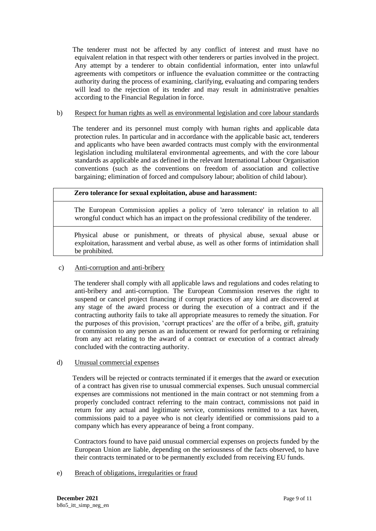The tenderer must not be affected by any conflict of interest and must have no equivalent relation in that respect with other tenderers or parties involved in the project. Any attempt by a tenderer to obtain confidential information, enter into unlawful agreements with competitors or influence the evaluation committee or the contracting authority during the process of examining, clarifying, evaluating and comparing tenders will lead to the rejection of its tender and may result in administrative penalties according to the Financial Regulation in force.

#### b) Respect for human rights as well as environmental legislation and core labour standards

 The tenderer and its personnel must comply with human rights and applicable data protection rules. In particular and in accordance with the applicable basic act, tenderers and applicants who have been awarded contracts must comply with the environmental legislation including multilateral environmental agreements, and with the core labour standards as applicable and as defined in the relevant International Labour Organisation conventions (such as the conventions on freedom of association and collective bargaining; elimination of forced and compulsory labour; abolition of child labour).

#### **Zero tolerance for sexual exploitation, abuse and harassment:**

 The European Commission applies a policy of 'zero tolerance' in relation to all wrongful conduct which has an impact on the professional credibility of the tenderer.

 Physical abuse or punishment, or threats of physical abuse, sexual abuse or exploitation, harassment and verbal abuse, as well as other forms of intimidation shall be prohibited.

#### c) Anti-corruption and anti-bribery

 The tenderer shall comply with all applicable laws and regulations and codes relating to anti-bribery and anti-corruption. The European Commission reserves the right to suspend or cancel project financing if corrupt practices of any kind are discovered at any stage of the award process or during the execution of a contract and if the contracting authority fails to take all appropriate measures to remedy the situation. For the purposes of this provision, 'corrupt practices' are the offer of a bribe, gift, gratuity or commission to any person as an inducement or reward for performing or refraining from any act relating to the award of a contract or execution of a contract already concluded with the contracting authority.

#### d) Unusual commercial expenses

 Tenders will be rejected or contracts terminated if it emerges that the award or execution of a contract has given rise to unusual commercial expenses. Such unusual commercial expenses are commissions not mentioned in the main contract or not stemming from a properly concluded contract referring to the main contract, commissions not paid in return for any actual and legitimate service, commissions remitted to a tax haven, commissions paid to a payee who is not clearly identified or commissions paid to a company which has every appearance of being a front company.

 Contractors found to have paid unusual commercial expenses on projects funded by the European Union are liable, depending on the seriousness of the facts observed, to have their contracts terminated or to be permanently excluded from receiving EU funds.

e) Breach of obligations, irregularities or fraud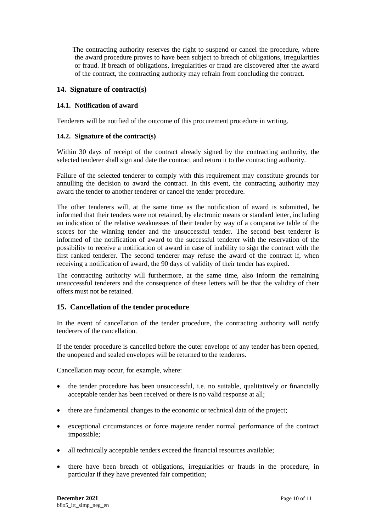The contracting authority reserves the right to suspend or cancel the procedure, where the award procedure proves to have been subject to breach of obligations, irregularities or fraud. If breach of obligations, irregularities or fraud are discovered after the award of the contract, the contracting authority may refrain from concluding the contract.

## **14. Signature of contract(s)**

## **14.1. Notification of award**

Tenderers will be notified of the outcome of this procurement procedure in writing.

#### **14.2. Signature of the contract(s)**

Within 30 days of receipt of the contract already signed by the contracting authority, the selected tenderer shall sign and date the contract and return it to the contracting authority.

Failure of the selected tenderer to comply with this requirement may constitute grounds for annulling the decision to award the contract. In this event, the contracting authority may award the tender to another tenderer or cancel the tender procedure.

The other tenderers will, at the same time as the notification of award is submitted, be informed that their tenders were not retained, by electronic means or standard letter, including an indication of the relative weaknesses of their tender by way of a comparative table of the scores for the winning tender and the unsuccessful tender. The second best tenderer is informed of the notification of award to the successful tenderer with the reservation of the possibility to receive a notification of award in case of inability to sign the contract with the first ranked tenderer. The second tenderer may refuse the award of the contract if, when receiving a notification of award, the 90 days of validity of their tender has expired.

The contracting authority will furthermore, at the same time, also inform the remaining unsuccessful tenderers and the consequence of these letters will be that the validity of their offers must not be retained.

## **15. Cancellation of the tender procedure**

In the event of cancellation of the tender procedure, the contracting authority will notify tenderers of the cancellation.

If the tender procedure is cancelled before the outer envelope of any tender has been opened, the unopened and sealed envelopes will be returned to the tenderers.

Cancellation may occur, for example, where:

- the tender procedure has been unsuccessful, i.e. no suitable, qualitatively or financially acceptable tender has been received or there is no valid response at all;
- there are fundamental changes to the economic or technical data of the project;
- exceptional circumstances or force majeure render normal performance of the contract impossible;
- all technically acceptable tenders exceed the financial resources available;
- there have been breach of obligations, irregularities or frauds in the procedure, in particular if they have prevented fair competition;